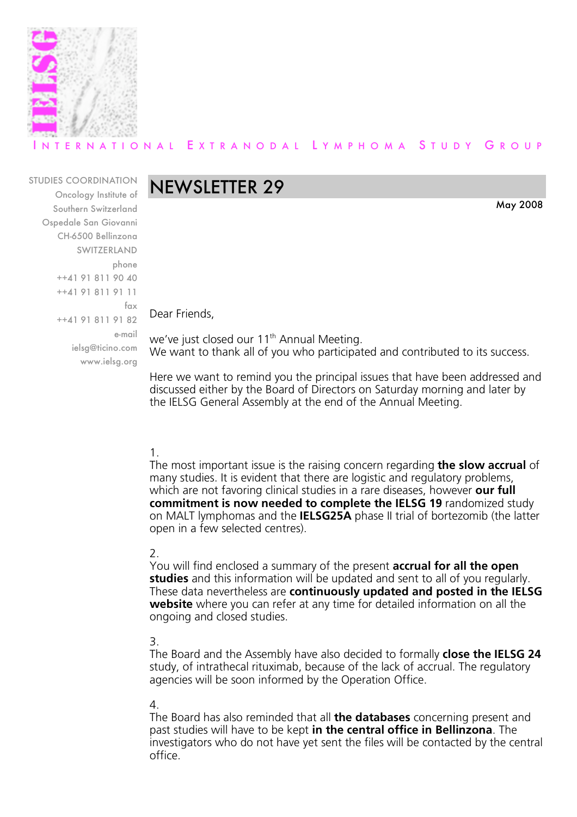

## RNATIONAL EXTRANODAL LYMPHOMA STUDY GROUP

#### STUDIES COORDINATION

Oncology Institute of Southern Switzerland Ospedale San Giovanni CH-6500 Bellinzona SWITZERLAND phone ++41 91 811 90 40 ++41 91 811 91 11 fax ++41 91 811 91 82 e-mail ielsg@ticino.com www.ielsg.org

# NEWSLETTER 29

Dear Friends,

we've just closed our 11<sup>th</sup> Annual Meeting. We want to thank all of you who participated and contributed to its success.

May 2008

Here we want to remind you the principal issues that have been addressed and discussed either by the Board of Directors on Saturday morning and later by the IELSG General Assembly at the end of the Annual Meeting.

#### 1.

The most important issue is the raising concern regarding **the slow accrual** of many studies. It is evident that there are logistic and regulatory problems, which are not favoring clinical studies in a rare diseases, however **our full commitment is now needed to complete the IELSG 19** randomized study on MALT lymphomas and the **IELSG25A** phase II trial of bortezomib (the latter open in a few selected centres).

#### 2.

You will find enclosed a summary of the present **accrual for all the open studies** and this information will be updated and sent to all of you regularly. These data nevertheless are **continuously updated and posted in the IELSG website** where you can refer at any time for detailed information on all the ongoing and closed studies.

#### 3.

The Board and the Assembly have also decided to formally **close the IELSG 24** study, of intrathecal rituximab, because of the lack of accrual. The regulatory agencies will be soon informed by the Operation Office.

#### 4.

The Board has also reminded that all **the databases** concerning present and past studies will have to be kept **in the central office in Bellinzona**. The investigators who do not have yet sent the files will be contacted by the central office.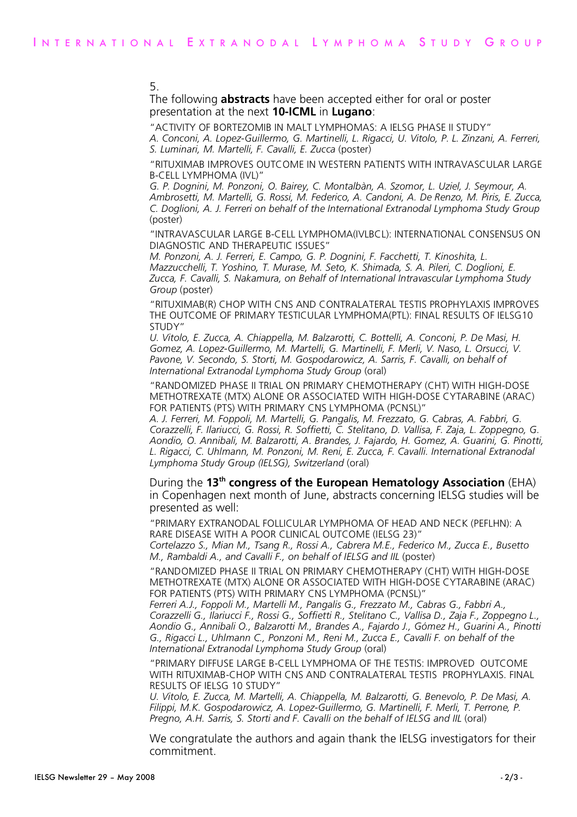#### 5.

The following **abstracts** have been accepted either for oral or poster presentation at the next **10-ICML** in **Lugano**:

"ACTIVITY OF BORTEZOMIB IN MALT LYMPHOMAS: A IELSG PHASE II STUDY"

*A. Conconi, A. Lopez-Guillermo, G. Martinelli, L. Rigacci, U. Vitolo, P. L. Zinzani, A. Ferreri, S. Luminari, M. Martelli, F. Cavalli, E. Zucca* (poster)

"RITUXIMAB IMPROVES OUTCOME IN WESTERN PATIENTS WITH INTRAVASCULAR LARGE B-CELL LYMPHOMA (IVL)"

*G. P. Dognini, M. Ponzoni, O. Bairey, C. Montalbàn, A. Szomor, L. Uziel, J. Seymour, A. Ambrosetti, M. Martelli, G. Rossi, M. Federico, A. Candoni, A. De Renzo, M. Piris, E. Zucca, C. Doglioni, A. J. Ferreri on behalf of the International Extranodal Lymphoma Study Group* (poster)

"INTRAVASCULAR LARGE B-CELL LYMPHOMA(IVLBCL): INTERNATIONAL CONSENSUS ON DIAGNOSTIC AND THERAPEUTIC ISSUES"

*M. Ponzoni, A. J. Ferreri, E. Campo, G. P. Dognini, F. Facchetti, T. Kinoshita, L. Mazzucchelli, T. Yoshino, T. Murase, M. Seto, K. Shimada, S. A. Pileri, C. Doglioni, E. Zucca, F. Cavalli, S. Nakamura, on Behalf of International Intravascular Lymphoma Study Group* (poster)

"RITUXIMAB(R) CHOP WITH CNS AND CONTRALATERAL TESTIS PROPHYLAXIS IMPROVES THE OUTCOME OF PRIMARY TESTICULAR LYMPHOMA(PTL): FINAL RESULTS OF IELSG10 STUDY"

*U. Vitolo, E. Zucca, A. Chiappella, M. Balzarotti, C. Bottelli, A. Conconi, P. De Masi, H. Gomez, A. Lopez-Guillermo, M. Martelli, G. Martinelli, F. Merli, V. Naso, L. Orsucci, V. Pavone, V. Secondo, S. Storti, M. Gospodarowicz, A. Sarris, F. Cavalli, on behalf of International Extranodal Lymphoma Study Group* (oral)

"RANDOMIZED PHASE II TRIAL ON PRIMARY CHEMOTHERAPY (CHT) WITH HIGH-DOSE METHOTREXATE (MTX) ALONE OR ASSOCIATED WITH HIGH-DOSE CYTARABINE (ARAC) FOR PATIENTS (PTS) WITH PRIMARY CNS LYMPHOMA (PCNSL)"

*A. J. Ferreri, M. Foppoli, M. Martelli, G. Pangalis, M. Frezzato, G. Cabras, A. Fabbri, G. Corazzelli, F. Ilariucci, G. Rossi, R. Soffietti, C. Stelitano, D. Vallisa, F. Zaja, L. Zoppegno, G. Aondio, O. Annibali, M. Balzarotti, A. Brandes, J. Fajardo, H. Gomez, A. Guarini, G. Pinotti, L. Rigacci, C. Uhlmann, M. Ponzoni, M. Reni, E. Zucca, F. Cavalli. International Extranodal Lymphoma Study Group (IELSG), Switzerland* (oral)

During the **13th congress of the European Hematology Association** (EHA) in Copenhagen next month of June, abstracts concerning IELSG studies will be presented as well:

"PRIMARY EXTRANODAL FOLLICULAR LYMPHOMA OF HEAD AND NECK (PEFLHN): A RARE DISEASE WITH A POOR CLINICAL OUTCOME (IELSG 23)"

*Cortelazzo S., Mian M., Tsang R., Rossi A., Cabrera M.E., Federico M., Zucca E., Busetto M., Rambaldi A., and Cavalli F., on behalf of IELSG and IIL* (poster)

"RANDOMIZED PHASE II TRIAL ON PRIMARY CHEMOTHERAPY (CHT) WITH HIGH-DOSE METHOTREXATE (MTX) ALONE OR ASSOCIATED WITH HIGH-DOSE CYTARABINE (ARAC) FOR PATIENTS (PTS) WITH PRIMARY CNS LYMPHOMA (PCNSL)"

*Ferreri A.J., Foppoli M., Martelli M., Pangalis G., Frezzato M., Cabras G., Fabbri A., Corazzelli G., Ilariucci F., Rossi G., Soffietti R., Stelitano C., Vallisa D., Zaja F., Zoppegno L., Aondio G., Annibali O., Balzarotti M., Brandes A., Fajardo J., Gómez H., Guarini A., Pinotti G., Rigacci L., Uhlmann C., Ponzoni M., Reni M., Zucca E., Cavalli F. on behalf of the International Extranodal Lymphoma Study Group* (oral)

"PRIMARY DIFFUSE LARGE B-CELL LYMPHOMA OF THE TESTIS: IMPROVED OUTCOME WITH RITUXIMAB-CHOP WITH CNS AND CONTRALATERAL TESTIS PROPHYLAXIS. FINAL RESULTS OF IELSG 10 STUDY"

*U. Vitolo, E. Zucca, M. Martelli, A. Chiappella, M. Balzarotti, G. Benevolo, P. De Masi, A. Filippi, M.K. Gospodarowicz, A. Lopez-Guillermo, G. Martinelli, F. Merli, T. Perrone, P. Pregno, A.H. Sarris, S. Storti and F. Cavalli on the behalf of IELSG and IIL* (oral)

We congratulate the authors and again thank the IELSG investigators for their commitment.